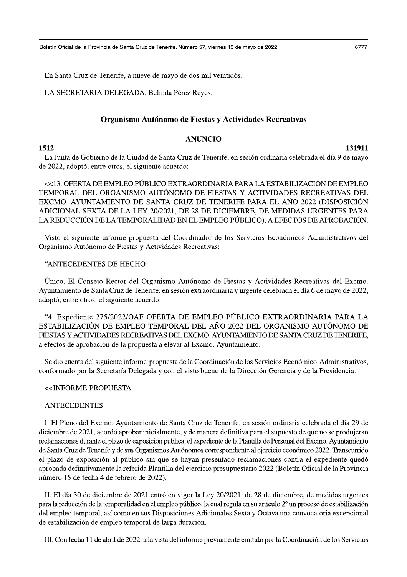En Santa Cruz de Tenerife, a nueve de mayo de dos mil veintidos.

LA SECRETARIA DELEGADA, Belinda Perez R

Junta de Gobierno de la Ciudad de Santa Cruz de Tenerife, en sesión ordinaria celebrada el día 9 de mayo de 2022, adopto, entre otros, el siguiente acuerdo:

Eoletín Oficial de la Provincia de Santa Cruz de Tenerife. Número 57, viernes 13 de mayo de 2022<br>
En Santa Cruz de Tenerife, a nueve de mayo de dos mil veintidós.<br>
LA SECRETARIA DELEGADA, Belinda Pérez Reyes.<br> **Organismo A** << 13. OFERTA DE EMPLEO PUBLICO EXTRAORDINARIA PARA LA ESTABILIZACION DE EMPLEO TEMPORAL DEL ORGANISMO AUTONOMO DE FIESTAS Y ACTIVIDADES RECREATIVAS DEL EXCMO. AYUNTAMIENTO DE SANTA CRUZ DE TENERIFE PARA EL ANO 2022 (DISPOSICION ADICIONAL SEXTA DE LA LEY 20/2021, DE 28 DE DICIEMBRE, DE MEDIDAS URGENTES PARA LA REDUCCIÓN DE LA TEMPORALIDAD EN EL EMPLEO PUBLICO), A EFECTOS DE APROBACIÓN.

Visto el siguiente informe propuesta del Coordinador de los Servicios Economicos Administrativos del Organismo Autônomo de Fiestas y Actividades Recreativas:

# "ANTECEDENTES DE HECHO

Unico. El Consejo Rector del Organismo Autónomo de Fiestas y Actividades Recreativas del Excmo. Ayuntamiento de Santa Cruz de Tenerife, en sesión extraordinaria y urgente celebrada el día 6 de mayo de 2022, adoptó, entre otros, el siguiente acuerdo:

"4. Expediente 2/5/2022/OAF OFERTA DE EMPLEO PUBLICO EXTRAORDINARIA PARA LA ESTABILIZACION DE EMPLEO TEMPORAL DEL ANO 2022 DEL ORGANISMO AUTONOMO DE FIESTAS Y ACTIVIDADES RECREATIVAS DEL EXCMO. AYUNTAMIENTO DE SANTA CRUZ DE TENERIFE, a efectos de aprobación de la propuesta a elevar al Excmo. Ayuntamiento.

Se dio cuenta del siguiente informe-propuesta de la Coordinación de los Servicios Economico-Administrativos, conformado por la Secretaria Delegada y con el visto bueno de la Dirección Gerencia y de la Presidencia:

## <<INFORME-PROPUESTA

#### **ANTECEDENTES**

I. El Pieno del Excmo. Ayuntamiento de Santa Cruz de Tenerife, en sesión ordinaria celebrada el día 29 de diciembre de 2021, acordó aprobar inicialmente, y de manera definitiva para el supuesto de que no se produjeran reclamaciones durante el plazo de exposición publica, el expediente de la Plantilla de Personal del Excmo. Ayuntamiento de Santa Cruz de Tenerife y de sus Organismos Autónomos correspondiente al ejercicio económico 2022. Transcurrido el plazo de exposición al publico sin que se hayan presentado reclamaciones contra el expediente quedo aprobada definitivamente la referida Plantilla del ejercicio presupuestario 2022 (Boletín Oficial de la Provincia numero 15 de fecha 4 de febrero de  $2022$ ).

II. El día 30 de diciembre de 2021 entró en vigor la Ley 20/2021, de 28 de diciembre, de medidas urgentes para la reducción de la temporalidad en el empleo publico, la cual regula en su artículo 2º un proceso de estabilización del empleo temporal, así como en sus Disposiciones Adicionales Sexta y Octava una convocatoria excepcional de estabílización de empleo temporal de larga duración.

III. Con techa 11 de abril de 2022, a la vista del informe previamente emitido por la Coordinación de los Servicios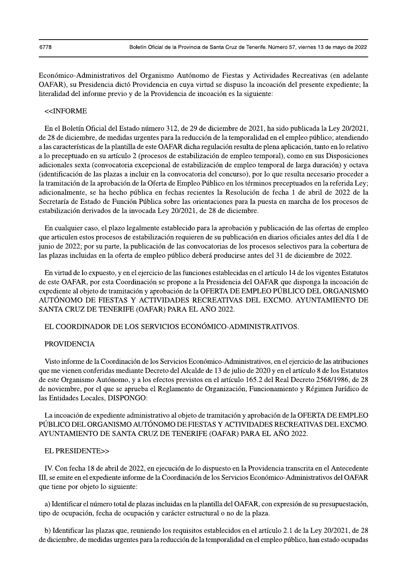Económico-Administrativos del Organismo Autónomo de Fiestas y Actividades Recreativas (en adelante OAFAR), su Presidencia dictó Providencia en cuya virtud se dispuso la incoación del presente expediente; la literalidad del informe previo y de la Providencia de incoación es la siguiente:

#### <<INFORME

En el Boletín Oficial del Estado número 312, de 29 de diciembre de 2021, ha sido publicada la Ley 20/2021, de 28 de diciembre, de medidas urgentes para la reducción de la temporalidad en el empleo público; atendiendo a las características de la plantilla de este OAFAR dicha regulación resulta de plena aplicación, tanto en lo relativo a lo preceptuado en su artículo 2 (procesos de estabilización de empleo temporal), como en sus Disposiciones adicionales sexta (convocatoria excepcional de estabilización de empleo temporal de larga duración) y octava (identificación de las plazas a incluir en la convocatoria del concurso), por lo que resulta necesario proceder a la tramitación de la aprobación de la Oferta de Empleo Público en los términos preceptuados en la referida Ley; adicionalmente, se ha hecho pública en fechas recientes la Resolución de fecha 1 de abril de 2022 de la Secretaría de Estado de Función Pública sobre las orientaciones para la puesta en marcha de los procesos de estabilización derivados de la invocada Ley 20/2021, de 28 de diciembre.

En cualquier caso, el plazo legalmente establecido para la aprobación y publicación de las ofertas de empleo que articulen estos procesos de estabilización requieren de su publicación en diarios oficiales antes del día 1 de junio de 2022; por su parte, la publicación de las convocatorias de los procesos selectivos para la cobertura de las plazas incluidas en la oferta de empleo público deberá producirse antes del 31 de diciembre de 2022.

En virtud de lo expuesto, y en el ejercicio de las funciones establecidas en el artículo 14 de los vigentes Estatutos de este OAFAR, por esta Coordinación se propone a la Presidencia del OAFAR que disponga la incoación de expediente al objeto de tramitación y aprobación de la OFERTA DE EMPLEO PÚBLICO DEL ORGANISMO AUTÓNOMO DE FIESTAS Y ACTIVIDADES RECREATIVAS DEL EXCMO. AYUNTAMIENTO DE SANTA CRUZ DE TENERIFE (OAFAR) PARA EL AÑO 2022.

## EL COORDINADOR DE LOS SERVICIOS ECONÓMICO-ADMINISTRATIVOS.

### **PROVIDENCIA**

Visto informe de la Coordinación de los Servicios Económico-Administrativos, en el ejercicio de las atribuciones que me vienen conferidas mediante Decreto del Alcalde de 13 de julio de 2020 y en el artículo 8 de los Estatutos de este Organismo Autónomo, y a los efectos previstos en el artículo 165.2 del Real Decreto 2568/1986, de 28 de noviembre, por el que se aprueba el Reglamento de Organización, Funcionamiento y Régimen Jurídico de las Entidades Locales, DISPONGO:

La incoación de expediente administrativo al objeto de tramitación y aprobación de la OFERTA DE EMPLEO PÚBLICO DEL ORGANISMO AUTÓNOMO DE FIESTAS Y ACTIVIDADES RECREATIVAS DEL EXCMO. AYUNTAMIENTO DE SANTA CRUZ DE TENERIFE (OAFAR) PARA EL AÑO 2022.

#### EL PRESIDENTE>>

IV. Con fecha 18 de abril de 2022, en ejecución de lo dispuesto en la Providencia transcrita en el Antecedente III, se emite en el expediente informe de la Coordinación de los Servicios Económico-Administrativos del OAFAR que tiene por objeto lo siguiente:

a) Identificar el número total de plazas incluidas en la plantilla del OAFAR, con expresión de su presupuestación, tipo de ocupación, fecha de ocupación y carácter estructural o no de la plaza.

b) Identificar las plazas que, reuniendo los requisitos establecidos en el artículo 2.1 de la Ley 20/2021, de 28 de diciembre, de medidas urgentes para la reducción de la temporalidad en el empleo público, han estado ocupadas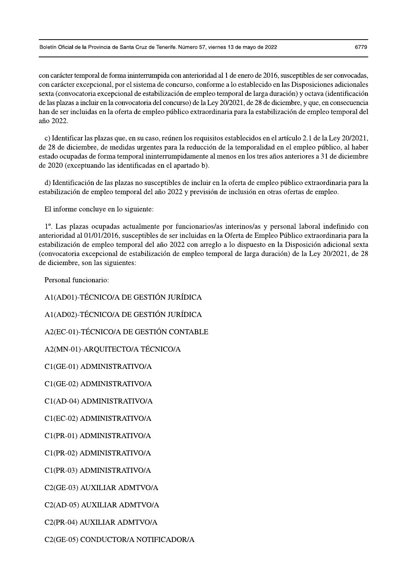con carácter temporal de forma ininterrumpida con anterioridad al 1 de enero de 2016, susceptibles de ser convocadas, con carácter excepcional, por el sistema de concurso, conforme a lo establecido en las Disposiciones adicionales sexta (convocatoria excepcional de estabilización de empleo temporal de larga duración) y octava (identificación de las plazas a incluir en la convocatoria del concurso) de la Ley 20/2021, de 28 de diciembre, y que, en consecuencia han de ser incluidas en la oferta de empleo público extraordinaria para la estabilización de empleo temporal del año 2022.

c) Identificar las plazas que, en su caso, reúnen los requisitos establecidos en el artículo 2.1 de la Ley 20/2021, de 28 de diciembre, de medidas urgentes para la reducción de la temporalidad en el empleo público, al haber estado ocupadas de forma temporal ininterrumpidamente al menos en los tres años anteriores a 31 de diciembre de 2020 (exceptuando las identificadas en el apartado b).

d) Identificación de las plazas no susceptibles de incluir en la oferta de empleo público extraordinaria para la estabilización de empleo temporal del año 2022 y previsión de inclusión en otras ofertas de empleo.

El informe concluye en lo siguiente:

1°. Las plazas ocupadas actualmente por funcionarios/as interinos/as y personal laboral indefinido con anterioridad al 01/01/2016, susceptibles de ser incluidas en la Oferta de Empleo Público extraordinaria para la estabilización de empleo temporal del año 2022 con arreglo a lo dispuesto en la Disposición adicional sexta (convocatoria excepcional de estabilización de empleo temporal de larga duración) de la Ley 20/2021, de 28 de diciembre, son las siguientes:

Personal funcionario:

A1(AD01)-TÉCNICO/A DE GESTIÓN JURÍDICA

A1(AD02)-TÉCNICO/A DE GESTIÓN JURÍDICA

A2(EC-01)-TÉCNICO/A DE GESTIÓN CONTABLE

A2(MN-01)-ARQUITECTO/A TÉCNICO/A

C1(GE-01) ADMINISTRATIVO/A

C1(GE-02) ADMINISTRATIVO/A

C1(AD-04) ADMINISTRATIVO/A

C1(EC-02) ADMINISTRATIVO/A

C1(PR-01) ADMINISTRATIVO/A

C1(PR-02) ADMINISTRATIVO/A

C1(PR-03) ADMINISTRATIVO/A

C2(GE-03) AUXILIAR ADMTVO/A

C2(AD-05) AUXILIAR ADMTVO/A

C2(PR-04) AUXILIAR ADMTVO/A

C2(GE-05) CONDUCTOR/A NOTIFICADOR/A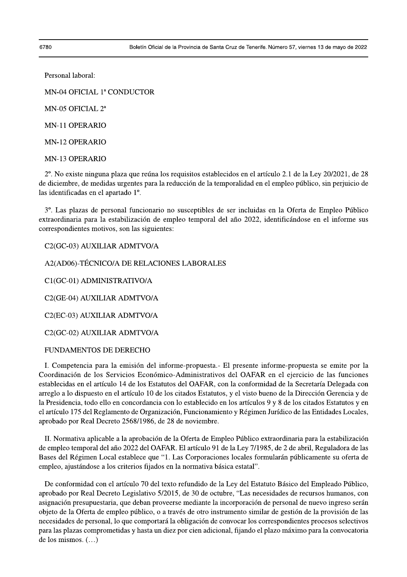Personal laboral:

MN-04 OFICIAL 1ª CONDUCTOR

MN-05 OFICIAL 2<sup>a</sup>

MN-11 OPERARIO

**MN-12 OPERARIO** 

**MN-13 OPERARIO** 

2°. No existe ninguna plaza que reúna los requisitos establecidos en el artículo 2.1 de la Ley 20/2021, de 28 de diciembre, de medidas urgentes para la reducción de la temporalidad en el empleo público, sin perjuicio de las identificadas en el apartado 1<sup>°</sup>.

3°. Las plazas de personal funcionario no susceptibles de ser incluidas en la Oferta de Empleo Público extraordinaria para la estabilización de empleo temporal del año 2022, identificándose en el informe sus correspondientes motivos, son las siguientes:

C2(GC-03) AUXILIAR ADMTVO/A

A2(AD06)-TÉCNICO/A DE RELACIONES LABORALES

C1(GC-01) ADMINISTRATIVO/A

C<sub>2</sub>(GE-04) AUXILIAR ADMTVO/A

C2(EC-03) AUXILIAR ADMTVO/A

C2(GC-02) AUXILIAR ADMTVO/A

## FUNDAMENTOS DE DERECHO

I. Competencia para la emisión del informe-propuesta. El presente informe-propuesta se emite por la Coordinación de los Servicios Económico-Administrativos del OAFAR en el ejercicio de las funciones establecidas en el artículo 14 de los Estatutos del OAFAR, con la conformidad de la Secretaría Delegada con arreglo a lo dispuesto en el artículo 10 de los citados Estatutos, y el visto bueno de la Dirección Gerencia y de la Presidencia, todo ello en concordancia con lo establecido en los artículos 9 y 8 de los citados Estatutos y en el artículo 175 del Reglamento de Organización, Funcionamiento y Régimen Jurídico de las Entidades Locales, aprobado por Real Decreto 2568/1986, de 28 de noviembre.

II. Normativa aplicable a la aprobación de la Oferta de Empleo Público extraordinaria para la estabilización de empleo temporal del año 2022 del OAFAR. El artículo 91 de la Ley 7/1985, de 2 de abril, Reguladora de las Bases del Régimen Local establece que "1. Las Corporaciones locales formularán públicamente su oferta de empleo, ajustándose a los criterios fijados en la normativa básica estatal".

De conformidad con el artículo 70 del texto refundido de la Ley del Estatuto Básico del Empleado Público, aprobado por Real Decreto Legislativo 5/2015, de 30 de octubre, "Las necesidades de recursos humanos, con asignación presupuestaria, que deban proveerse mediante la incorporación de personal de nuevo ingreso serán objeto de la Oferta de empleo público, o a través de otro instrumento similar de gestión de la provisión de las necesidades de personal, lo que comportará la obligación de convocar los correspondientes procesos selectivos para las plazas comprometidas y hasta un diez por cien adicional, fijando el plazo máximo para la convocatoria de los mismos.  $(\dots)$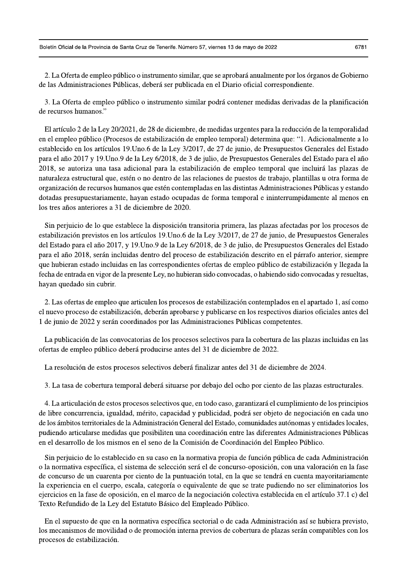2. La Oferta de empleo público o instrumento similar, que se aprobará anualmente por los órganos de Gobierno de las Administraciones Públicas, deberá ser publicada en el Diario oficial correspondiente.

3. La Oferta de empleo público o instrumento similar podrá contener medidas derivadas de la planificación de recursos humanos."

El artículo 2 de la Ley 20/2021, de 28 de diciembre, de medidas urgentes para la reducción de la temporalidad en el empleo público (Procesos de estabilización de empleo temporal) determina que: "1. Adicionalmente a lo establecido en los artículos 19. Uno. 6 de la Ley 3/2017, de 27 de junio, de Presupuestos Generales del Estado para el año 2017 y 19. Uno 9 de la Ley 6/2018, de 3 de julio, de Presupuestos Generales del Estado para el año 2018, se autoriza una tasa adicional para la estabilización de empleo temporal que incluirá las plazas de naturaleza estructural que, estén o no dentro de las relaciones de puestos de trabajo, plantillas u otra forma de organización de recursos humanos que estén contempladas en las distintas Administraciones Públicas y estando dotadas presupuestariamente, hayan estado ocupadas de forma temporal e ininterrumpidamente al menos en los tres años anteriores a 31 de diciembre de 2020.

Sin perjuicio de lo que establece la disposición transitoria primera, las plazas afectadas por los procesos de estabilización previstos en los artículos 19. Uno.6 de la Ley 3/2017, de 27 de junio, de Presupuestos Generales del Estado para el año 2017, y 19. Uno. 9 de la Ley 6/2018, de 3 de julio, de Presupuestos Generales del Estado para el año 2018, serán incluidas dentro del proceso de estabilización descrito en el párrafo anterior, siempre que hubieran estado incluidas en las correspondientes ofertas de empleo público de estabilización y llegada la fecha de entrada en vigor de la presente Ley, no hubieran sido convocadas, o habiendo sido convocadas y resueltas, hayan quedado sin cubrir.

2. Las ofertas de empleo que articulen los procesos de estabilización contemplados en el apartado 1, así como el nuevo proceso de estabilización, deberán aprobarse y publicarse en los respectivos diarios oficiales antes del 1 de junio de 2022 y serán coordinados por las Administraciones Públicas competentes.

La publicación de las convocatorias de los procesos selectivos para la cobertura de las plazas incluidas en las ofertas de empleo público deberá producirse antes del 31 de diciembre de 2022.

La resolución de estos procesos selectivos deberá finalizar antes del 31 de diciembre de 2024.

3. La tasa de cobertura temporal deberá situarse por debajo del ocho por ciento de las plazas estructurales.

4. La articulación de estos procesos selectivos que, en todo caso, garantizará el cumplimiento de los principios de libre concurrencia, igualdad, mérito, capacidad y publicidad, podrá ser objeto de negociación en cada uno de los ámbitos territoriales de la Administración General del Estado, comunidades autónomas y entidades locales, pudiendo articularse medidas que posibiliten una coordinación entre las diferentes Administraciones Públicas en el desarrollo de los mismos en el seno de la Comisión de Coordinación del Empleo Público.

Sin periuicio de lo establecido en su caso en la normativa propia de función pública de cada Administración o la normativa específica, el sistema de selección será el de concurso-oposición, con una valoración en la fase de concurso de un cuarenta por ciento de la puntuación total, en la que se tendrá en cuenta mayoritariamente la experiencia en el cuerpo, escala, categoría o equivalente de que se trate pudiendo no ser eliminatorios los ejercicios en la fase de oposición, en el marco de la negociación colectiva establecida en el artículo 37.1 c) del Texto Refundido de la Ley del Estatuto Básico del Empleado Público.

En el supuesto de que en la normativa específica sectorial o de cada Administración así se hubiera previsto, los mecanismos de movilidad o de promoción interna previos de cobertura de plazas serán compatibles con los procesos de estabilización.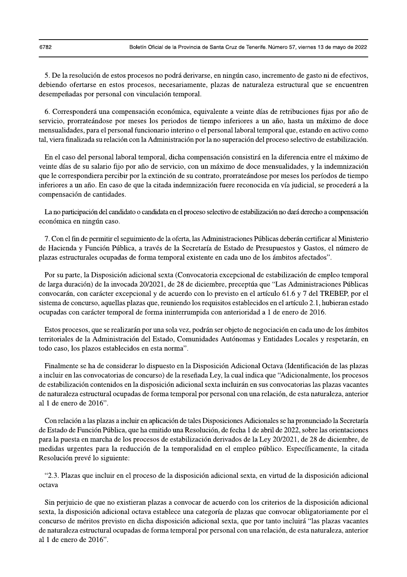5. De la resolución de estos procesos no podrá derivarse, en ningún caso, incremento de gasto ni de efectivos, debiendo ofertarse en estos procesos, necesariamente, plazas de naturaleza estructural que se encuentren desempeñadas por personal con vinculación temporal.

6. Corresponderá una compensación económica, equivalente a veinte días de retribuciones fijas por año de servicio, prorrateándose por meses los periodos de tiempo inferiores a un año, hasta un máximo de doce mensualidades, para el personal funcionario interino o el personal laboral temporal que, estando en activo como tal, viera finalizada su relación con la Administración por la no superación del proceso selectivo de estabilización.

En el caso del personal laboral temporal, dicha compensación consistirá en la diferencia entre el máximo de veinte días de su salario fijo por año de servicio, con un máximo de doce mensualidades, y la indemnización que le correspondiera percibir por la extinción de su contrato, prorrateándose por meses los períodos de tiempo inferiores a un año. En caso de que la citada indemnización fuere reconocida en vía judicial, se procederá a la compensación de cantidades.

La no participación del candidato o candidata en el proceso selectivo de estabilización no dará derecho a compensación económica en ningún caso.

7. Con el fin de permitir el seguimiento de la oferta, las Administraciones Públicas deberán certificar al Ministerio de Hacienda y Función Pública, a través de la Secretaría de Estado de Presupuestos y Gastos, el número de plazas estructurales ocupadas de forma temporal existente en cada uno de los ámbitos afectados".

Por su parte, la Disposición adicional sexta (Convocatoria excepcional de estabilización de empleo temporal de larga duración) de la invocada 20/2021, de 28 de diciembre, preceptúa que "Las Administraciones Públicas convocarán, con carácter excepcional y de acuerdo con lo previsto en el artículo 61.6 y 7 del TREBEP, por el sistema de concurso, aquellas plazas que, reuniendo los requisitos establecidos en el artículo 2.1, hubieran estado ocupadas con carácter temporal de forma ininterrumpida con anterioridad a 1 de enero de 2016.

Estos procesos, que se realizarán por una sola vez, podrán ser objeto de negociación en cada uno de los ámbitos territoriales de la Administración del Estado, Comunidades Autónomas y Entidades Locales y respetarán, en todo caso, los plazos establecidos en esta norma".

Finalmente se ha de considerar lo dispuesto en la Disposición Adicional Octava (Identificación de las plazas a incluir en las convocatorias de concurso) de la reseñada Ley, la cual indica que "Adicionalmente, los procesos de estabilización contenidos en la disposición adicional sexta incluirán en sus convocatorias las plazas vacantes de naturaleza estructural ocupadas de forma temporal por personal con una relación, de esta naturaleza, anterior al 1 de enero de 2016".

Con relación a las plazas a incluir en aplicación de tales Disposiciones Adicionales se ha pronunciado la Secretaría de Estado de Función Pública, que ha emitido una Resolución, de fecha 1 de abril de 2022, sobre las orientaciones para la puesta en marcha de los procesos de estabilización derivados de la Ley 20/2021, de 28 de diciembre, de medidas urgentes para la reducción de la temporalidad en el empleo público. Específicamente, la citada Resolución prevé lo siguiente:

"2.3. Plazas que incluir en el proceso de la disposición adicional sexta, en virtud de la disposición adicional octava

Sin perjuicio de que no existieran plazas a convocar de acuerdo con los criterios de la disposición adicional sexta, la disposición adicional octava establece una categoría de plazas que convocar obligatoriamente por el concurso de méritos previsto en dicha disposición adicional sexta, que por tanto incluirá "las plazas vacantes de naturaleza estructural ocupadas de forma temporal por personal con una relación, de esta naturaleza, anterior al 1 de enero de 2016".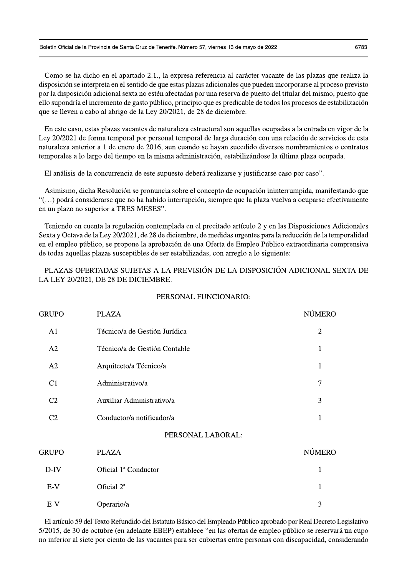Como se ha dicho en el apartado 2.1., la expresa referencia al carácter vacante de las plazas que realiza la disposición se interpreta en el sentido de que estas plazas adicionales que pueden incorporarse al proceso previsto por la disposición adicional sexta no estén afectadas por una reserva de puesto del titular del mismo, puesto que ello supondría el incremento de gasto público, principio que es predicable de todos los procesos de estabilización que se lleven a cabo al abrigo de la Ley 20/2021, de 28 de diciembre.

En este caso, estas plazas vacantes de naturaleza estructural son aquellas ocupadas a la entrada en vigor de la Ley 20/2021 de forma temporal por personal temporal de larga duración con una relación de servicios de esta naturaleza anterior a 1 de enero de 2016, aun cuando se hayan sucedido diversos nombramientos o contratos temporales a lo largo del tiempo en la misma administración, estabilizándose la última plaza ocupada.

El análisis de la concurrencia de este supuesto deberá realizarse y justificarse caso por caso".

Asimismo, dicha Resolución se pronuncia sobre el concepto de ocupación ininterrumpida, manifestando que "(...) podrá considerarse que no ha habido interrupción, siempre que la plaza vuelva a ocuparse efectivamente en un plazo no superior a TRES MESES".

Teniendo en cuenta la regulación contemplada en el precitado artículo 2 y en las Disposiciones Adicionales Sexta y Octava de la Ley 20/2021, de 28 de diciembre, de medidas urgentes para la reducción de la temporalidad en el empleo público, se propone la aprobación de una Oferta de Empleo Público extraordinaria comprensiva de todas aquellas plazas susceptibles de ser estabilizadas, con arreglo a lo siguiente:

PLAZAS OFERTADAS SUJETAS A LA PREVISIÓN DE LA DISPOSICIÓN ADICIONAL SEXTA DE LA LEY 20/2021, DE 28 DE DICIEMBRE.

| <b>GRUPO</b>   | <b>PLAZA</b>                  | <b>NÚMERO</b>  |
|----------------|-------------------------------|----------------|
| A1             | Técnico/a de Gestión Jurídica | $\overline{2}$ |
| A2             | Técnico/a de Gestión Contable | 1              |
| A2             | Arquitecto/a Técnico/a        | $\mathbf{1}$   |
| C <sub>1</sub> | Administrativo/a              | 7              |
| C <sub>2</sub> | Auxiliar Administrativo/a     | 3              |
| C <sub>2</sub> | Conductor/a notificador/a     | 1              |
|                | PERSONAL LABORAL:             |                |
| <b>GRUPO</b>   | <b>PLAZA</b>                  | <b>NÚMERO</b>  |
| $D-IV$         | Oficial 1ª Conductor          | 1              |
| $E-V$          | Oficial 2 <sup>ª</sup>        | 1              |
| $E-V$          | Operario/a                    | 3              |

El artículo 59 del Texto Refundido del Estatuto Básico del Empleado Público aprobado por Real Decreto Legislativo 5/2015, de 30 de octubre (en adelante EBEP) establece "en las ofertas de empleo público se reservará un cupo no inferior al siete por ciento de las vacantes para ser cubiertas entre personas con discapacidad, considerando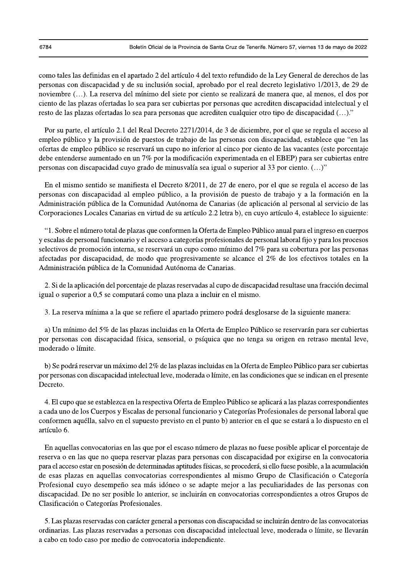como tales las definidas en el apartado 2 del artículo 4 del texto refundido de la Ley General de derechos de las personas con discapacidad y de su inclusión social, aprobado por el real decreto legislativo 1/2013, de 29 de noviembre (...). La reserva del mínimo del siete por ciento se realizará de manera que, al menos, el dos por ciento de las plazas ofertadas lo sea para ser cubiertas por personas que acrediten discapacidad intelectual y el resto de las plazas ofertadas lo sea para personas que acrediten cualquier otro tipo de discapacidad (...)."

Por su parte, el artículo 2.1 del Real Decreto 2271/2014, de 3 de diciembre, por el que se regula el acceso al empleo público y la provisión de puestos de trabajo de las personas con discapacidad, establece que "en las ofertas de empleo público se reservará un cupo no inferior al cinco por ciento de las vacantes (este porcentaje debe entenderse aumentado en un 7% por la modificación experimentada en el EBEP) para ser cubiertas entre personas con discapacidad cuyo grado de minusvalía sea igual o superior al 33 por ciento. (...)"

En el mismo sentido se manifiesta el Decreto 8/2011, de 27 de enero, por el que se regula el acceso de las personas con discapacidad al empleo público, a la provisión de puesto de trabajo y a la formación en la Administración pública de la Comunidad Autónoma de Canarias (de aplicación al personal al servicio de las Corporaciones Locales Canarias en virtud de su artículo 2.2 letra b), en cuyo artículo 4, establece lo siguiente:

"1. Sobre el número total de plazas que conformen la Oferta de Empleo Público anual para el ingreso en cuerpos y escalas de personal funcionario y el acceso a categorías profesionales de personal laboral fijo y para los procesos selectivos de promoción interna, se reservará un cupo como mínimo del 7% para su cobertura por las personas afectadas por discapacidad, de modo que progresivamente se alcance el 2% de los efectivos totales en la Administración pública de la Comunidad Autónoma de Canarias.

2. Si de la aplicación del porcentaje de plazas reservadas al cupo de discapacidad resultase una fracción decimal igual o superior a 0,5 se computará como una plaza a incluir en el mismo.

3. La reserva mínima a la que se refiere el apartado primero podrá desglosarse de la siguiente manera:

a) Un mínimo del 5% de las plazas incluidas en la Oferta de Empleo Público se reservarán para ser cubiertas por personas con discapacidad física, sensorial, o psíquica que no tenga su origen en retraso mental leve, moderado o límite.

b) Se podrá reservar un máximo del 2% de las plazas incluidas en la Oferta de Empleo Público para ser cubiertas por personas con discapacidad intelectual leve, moderada o límite, en las condiciones que se indican en el presente Decreto.

4. El cupo que se establezca en la respectiva Oferta de Empleo Público se aplicará a las plazas correspondientes a cada uno de los Cuerpos y Escalas de personal funcionario y Categorías Profesionales de personal laboral que conformen aquélla, salvo en el supuesto previsto en el punto b) anterior en el que se estará a lo dispuesto en el artículo 6.

En aquellas convocatorias en las que por el escaso número de plazas no fuese posible aplicar el porcentaje de reserva o en las que no quepa reservar plazas para personas con discapacidad por exigirse en la convocatoria para el acceso estar en posesión de determinadas aptitudes físicas, se procederá, si ello fuese posible, a la acumulación de esas plazas en aquellas convocatorias correspondientes al mismo Grupo de Clasificación o Categoría Profesional cuyo desempeño sea más idóneo o se adapte mejor a las peculiaridades de las personas con discapacidad. De no ser posible lo anterior, se incluirán en convocatorias correspondientes a otros Grupos de Clasificación o Categorías Profesionales.

5. Las plazas reservadas con carácter general a personas con discapacidad se incluirán dentro de las convocatorias ordinarias. Las plazas reservadas a personas con discapacidad intelectual leve, moderada o límite, se llevarán a cabo en todo caso por medio de convocatoria independiente.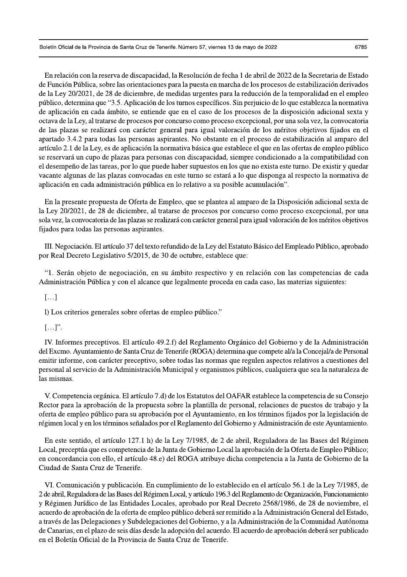En relación con la reserva de discapacidad, la Resolución de fecha 1 de abril de 2022 de la Secretaria de Estado de Función Pública, sobre las orientaciones para la puesta en marcha de los procesos de estabilización derivados de la Ley 20/2021, de 28 de diciembre, de medidas urgentes para la reducción de la temporalidad en el empleo público, determina que "3.5. Aplicación de los turnos específicos. Sin perjuicio de lo que establezca la normativa de aplicación en cada ámbito, se entiende que en el caso de los procesos de la disposición adicional sexta y octava de la Ley, al tratarse de procesos por concurso como proceso excepcional, por una sola vez, la convocatoria de las plazas se realizará con carácter general para igual valoración de los méritos objetivos fijados en el apartado 3.4.2 para todas las personas aspirantes. No obstante en el proceso de estabilización al amparo del artículo 2.1 de la Ley, es de aplicación la normativa básica que establece el que en las ofertas de empleo público se reservará un cupo de plazas para personas con discapacidad, siempre condicionado a la compatibilidad con el desempeño de las tareas, por lo que puede haber supuestos en los que no exista este turno. De existir y quedar vacante algunas de las plazas convocadas en este turno se estará a lo que disponga al respecto la normativa de aplicación en cada administración pública en lo relativo a su posible acumulación".

En la presente propuesta de Oferta de Empleo, que se plantea al amparo de la Disposición adicional sexta de la Ley 20/2021, de 28 de diciembre, al tratarse de procesos por concurso como proceso excepcional, por una sola vez, la convocatoria de las plazas se realizará con carácter general para igual valoración de los méritos objetivos fijados para todas las personas aspirantes.

III. Negociación. El artículo 37 del texto refundido de la Ley del Estatuto Básico del Empleado Público, aprobado por Real Decreto Legislativo 5/2015, de 30 de octubre, establece que:

"1. Serán objeto de negociación, en su ámbito respectivo y en relación con las competencias de cada Administración Pública y con el alcance que legalmente proceda en cada caso, las materias siguientes:

 $\left[\ldots\right]$ 

l) Los criterios generales sobre ofertas de empleo público."

 $[\ldots]$ .

IV. Informes preceptivos. El artículo 49.2.f) del Reglamento Orgánico del Gobierno y de la Administración del Excmo. Ayuntamiento de Santa Cruz de Tenerife (ROGA) determina que compete al/a la Concejal/a de Personal emitir informe, con carácter preceptivo, sobre todas las normas que regulen aspectos relativos a cuestiones del personal al servicio de la Administración Municipal y organismos públicos, cualquiera que sea la naturaleza de las mismas.

V. Competencia orgánica. El artículo 7.d) de los Estatutos del OAFAR establece la competencia de su Consejo Rector para la aprobación de la propuesta sobre la plantilla de personal, relaciones de puestos de trabajo y la oferta de empleo público para su aprobación por el Ayuntamiento, en los términos fijados por la legislación de régimen local y en los términos señalados por el Reglamento del Gobierno y Administración de este Ayuntamiento.

En este sentido, el artículo 127.1 h) de la Ley 7/1985, de 2 de abril, Reguladora de las Bases del Régimen Local, preceptúa que es competencia de la Junta de Gobierno Local la aprobación de la Oferta de Empleo Público; en concordancia con ello, el artículo 48.e) del ROGA atribuye dicha competencia a la Junta de Gobierno de la Ciudad de Santa Cruz de Tenerife.

VI. Comunicación y publicación. En cumplimiento de lo establecido en el artículo 56.1 de la Ley 7/1985, de 2 de abril, Reguladora de las Bases del Régimen Local, y artículo 196.3 del Reglamento de Organización, Funcionamiento y Régimen Jurídico de las Entidades Locales, aprobado por Real Decreto 2568/1986, de 28 de noviembre, el acuerdo de aprobación de la oferta de empleo público deberá ser remitido a la Administración General del Estado, a través de las Delegaciones y Subdelegaciones del Gobierno, y a la Administración de la Comunidad Autónoma de Canarias, en el plazo de seis días desde la adopción del acuerdo. El acuerdo de aprobación deberá ser publicado en el Boletín Oficial de la Provincia de Santa Cruz de Tenerife.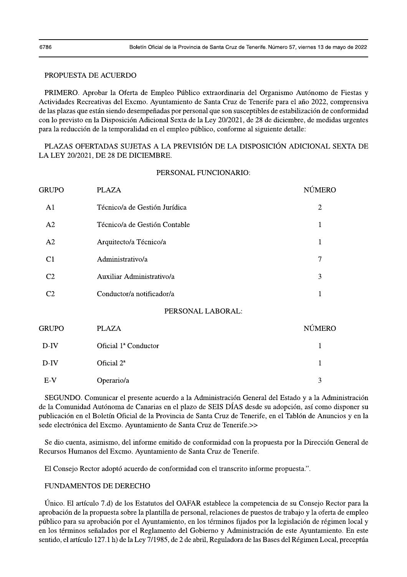## PROPUESTA DE ACUERDO

PRIMERO. Aprobar la Oferta de Empleo Público extraordinaria del Organismo Autónomo de Fiestas y Actividades Recreativas del Excmo. Ayuntamiento de Santa Cruz de Tenerife para el año 2022, comprensiva de las plazas que están siendo desempeñadas por personal que son susceptibles de estabilización de conformidad con lo previsto en la Disposición Adicional Sexta de la Ley 20/2021, de 28 de diciembre, de medidas urgentes para la reducción de la temporalidad en el empleo público, conforme al siguiente detalle:

PLAZAS OFERTADAS SUJETAS A LA PREVISIÓN DE LA DISPOSICIÓN ADICIONAL SEXTA DE LA LEY 20/2021, DE 28 DE DICIEMBRE.

### PERSONAL FUNCIONARIO:

| GRUPO          | <b>PLAZA</b>                  | <b>NÚMERO</b>  |
|----------------|-------------------------------|----------------|
| A <sub>1</sub> | Técnico/a de Gestión Jurídica | $\overline{2}$ |
| A2             | Técnico/a de Gestión Contable | 1              |
| A2             | Arquitecto/a Técnico/a        | 1              |
| C1             | Administrativo/a              | 7              |
| C <sub>2</sub> | Auxiliar Administrativo/a     | 3              |
| C <sub>2</sub> | Conductor/a notificador/a     | 1              |
|                | PERSONAL LABORAL:             |                |
| GRUPO          | <b>PLAZA</b>                  | <b>NÚMERO</b>  |
| $D$ -IV        | Oficial 1ª Conductor          | 1              |
| $D$ -IV        | Oficial 2 <sup>ª</sup>        | 1              |
| $E-V$          | Operario/a                    | 3              |

SEGUNDO. Comunicar el presente acuerdo a la Administración General del Estado y a la Administración de la Comunidad Autónoma de Canarias en el plazo de SEIS DÍAS desde su adopción, así como disponer su publicación en el Boletín Oficial de la Provincia de Santa Cruz de Tenerife, en el Tablón de Anuncios y en la sede electrónica del Excmo. Ayuntamiento de Santa Cruz de Tenerife.>>

Se dio cuenta, asimismo, del informe emitido de conformidad con la propuesta por la Dirección General de Recursos Humanos del Excmo. Ayuntamiento de Santa Cruz de Tenerife.

El Consejo Rector adoptó acuerdo de conformidad con el transcrito informe propuesta.".

## **FUNDAMENTOS DE DERECHO**

Unico. El artículo 7.d) de los Estatutos del OAFAR establece la competencia de su Consejo Rector para la aprobación de la propuesta sobre la plantilla de personal, relaciones de puestos de trabajo y la oferta de empleo público para su aprobación por el Ayuntamiento, en los términos fijados por la legislación de régimen local y en los términos señalados por el Reglamento del Gobierno y Administración de este Ayuntamiento. En este sentido, el artículo 127.1 h) de la Ley 7/1985, de 2 de abril, Reguladora de las Bases del Régimen Local, preceptúa